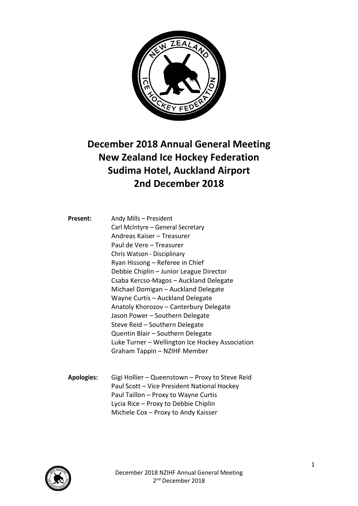

## **December 2018 Annual General Meeting New Zealand Ice Hockey Federation Sudima Hotel, Auckland Airport 2nd December 2018**

| Present: | Andy Mills - President                          |
|----------|-------------------------------------------------|
|          | Carl McIntyre - General Secretary               |
|          | Andreas Kaiser - Treasurer                      |
|          | Paul de Vere – Treasurer                        |
|          | Chris Watson - Disciplinary                     |
|          | Ryan Hissong – Referee in Chief                 |
|          | Debbie Chiplin - Junior League Director         |
|          | Csaba Kercso-Magos - Auckland Delegate          |
|          | Michael Domigan - Auckland Delegate             |
|          | Wayne Curtis - Auckland Delegate                |
|          | Anatoly Khorozov - Canterbury Delegate          |
|          | Jason Power - Southern Delegate                 |
|          | Steve Reid - Southern Delegate                  |
|          | Quentin Blair - Southern Delegate               |
|          | Luke Turner - Wellington Ice Hockey Association |
|          | Graham Tappin - NZIHF Member                    |
|          |                                                 |

**Apologies:** Gigi Hollier – Queenstown – Proxy to Steve Reid Paul Scott – Vice President National Hockey Paul Taillon – Proxy to Wayne Curtis Lycia Rice – Proxy to Debbie Chiplin Michele Cox – Proxy to Andy Kaisser

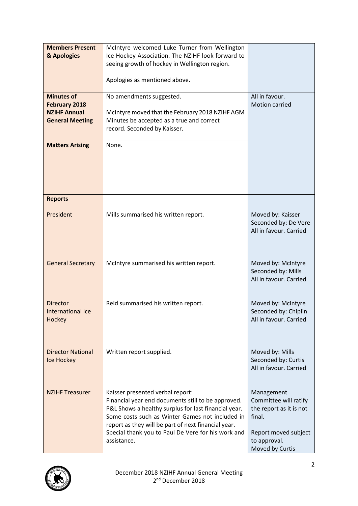| <b>Members Present</b>   | McIntyre welcomed Luke Turner from Wellington        |                         |
|--------------------------|------------------------------------------------------|-------------------------|
| & Apologies              | Ice Hockey Association. The NZIHF look forward to    |                         |
|                          | seeing growth of hockey in Wellington region.        |                         |
|                          |                                                      |                         |
|                          | Apologies as mentioned above.                        |                         |
| <b>Minutes of</b>        | No amendments suggested.                             | All in favour.          |
| <b>February 2018</b>     |                                                      | <b>Motion carried</b>   |
| <b>NZIHF Annual</b>      | McIntyre moved that the February 2018 NZIHF AGM      |                         |
| <b>General Meeting</b>   | Minutes be accepted as a true and correct            |                         |
|                          | record. Seconded by Kaisser.                         |                         |
|                          |                                                      |                         |
| <b>Matters Arising</b>   | None.                                                |                         |
|                          |                                                      |                         |
|                          |                                                      |                         |
|                          |                                                      |                         |
|                          |                                                      |                         |
| <b>Reports</b>           |                                                      |                         |
|                          |                                                      |                         |
| President                | Mills summarised his written report.                 | Moved by: Kaisser       |
|                          |                                                      | Seconded by: De Vere    |
|                          |                                                      | All in favour. Carried  |
|                          |                                                      |                         |
|                          |                                                      |                         |
| <b>General Secretary</b> | McIntyre summarised his written report.              | Moved by: McIntyre      |
|                          |                                                      | Seconded by: Mills      |
|                          |                                                      | All in favour. Carried  |
|                          |                                                      |                         |
|                          |                                                      |                         |
| <b>Director</b>          | Reid summarised his written report.                  | Moved by: McIntyre      |
| <b>International Ice</b> |                                                      | Seconded by: Chiplin    |
| Hockey                   |                                                      | All in favour. Carried  |
|                          |                                                      |                         |
|                          |                                                      |                         |
| <b>Director National</b> | Written report supplied.                             | Moved by: Mills         |
| <b>Ice Hockey</b>        |                                                      | Seconded by: Curtis     |
|                          |                                                      | All in favour. Carried  |
|                          |                                                      |                         |
| <b>NZIHF Treasurer</b>   | Kaisser presented verbal report:                     | Management              |
|                          | Financial year end documents still to be approved.   | Committee will ratify   |
|                          | P&L Shows a healthy surplus for last financial year. | the report as it is not |
|                          | Some costs such as Winter Games not included in      | final.                  |
|                          | report as they will be part of next financial year.  |                         |
|                          | Special thank you to Paul De Vere for his work and   | Report moved subject    |
|                          | assistance.                                          | to approval.            |
|                          |                                                      | Moved by Curtis         |

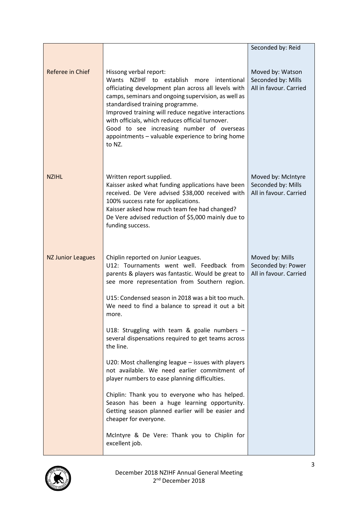|                          |                                                                                                                                                                                                                                                                                                                                                                                                                                                | Seconded by: Reid                                                  |
|--------------------------|------------------------------------------------------------------------------------------------------------------------------------------------------------------------------------------------------------------------------------------------------------------------------------------------------------------------------------------------------------------------------------------------------------------------------------------------|--------------------------------------------------------------------|
|                          |                                                                                                                                                                                                                                                                                                                                                                                                                                                |                                                                    |
| Referee in Chief         | Hissong verbal report:<br>Wants NZIHF to establish more<br>intentional<br>officiating development plan across all levels with<br>camps, seminars and ongoing supervision, as well as<br>standardised training programme.<br>Improved training will reduce negative interactions<br>with officials, which reduces official turnover.<br>Good to see increasing number of overseas<br>appointments - valuable experience to bring home<br>to NZ. | Moved by: Watson<br>Seconded by: Mills<br>All in favour. Carried   |
| <b>NZIHL</b>             | Written report supplied.<br>Kaisser asked what funding applications have been<br>received. De Vere advised \$38,000 received with<br>100% success rate for applications.<br>Kaisser asked how much team fee had changed?<br>De Vere advised reduction of \$5,000 mainly due to<br>funding success.                                                                                                                                             | Moved by: McIntyre<br>Seconded by: Mills<br>All in favour. Carried |
| <b>NZ Junior Leagues</b> | Chiplin reported on Junior Leagues.<br>U12: Tournaments went well. Feedback from<br>parents & players was fantastic. Would be great to<br>see more representation from Southern region.<br>U15: Condensed season in 2018 was a bit too much.<br>We need to find a balance to spread it out a bit                                                                                                                                               | Moved by: Mills<br>Seconded by: Power<br>All in favour. Carried    |
|                          | more.                                                                                                                                                                                                                                                                                                                                                                                                                                          |                                                                    |
|                          | U18: Struggling with team & goalie numbers -<br>several dispensations required to get teams across<br>the line.                                                                                                                                                                                                                                                                                                                                |                                                                    |
|                          | $U20$ : Most challenging league $-$ issues with players<br>not available. We need earlier commitment of<br>player numbers to ease planning difficulties.                                                                                                                                                                                                                                                                                       |                                                                    |
|                          | Chiplin: Thank you to everyone who has helped.<br>Season has been a huge learning opportunity.<br>Getting season planned earlier will be easier and<br>cheaper for everyone.                                                                                                                                                                                                                                                                   |                                                                    |
|                          | McIntyre & De Vere: Thank you to Chiplin for<br>excellent job.                                                                                                                                                                                                                                                                                                                                                                                 |                                                                    |

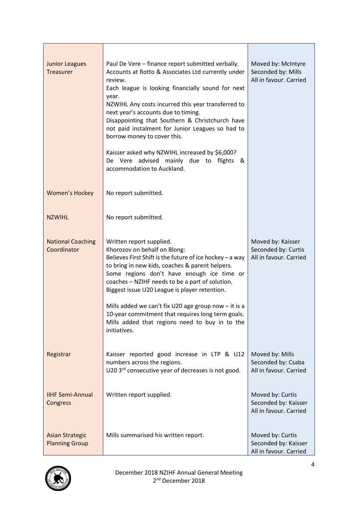| <b>Junior Leagues</b><br><b>Treasurer</b>       | Paul De Vere - finance report submitted verbally.<br>Accounts at Rotto & Associates Ltd currently under<br>review.<br>Each league is looking financially sound for next<br>year.<br>NZWIHL Any costs incurred this year transferred to<br>next year's accounts due to timing.<br>Disappointing that Southern & Christchurch have<br>not paid instalment for Junior Leagues so had to<br>borrow money to cover this.<br>Kaisser asked why NZWIHL increased by \$6,000?<br>De Vere advised mainly due to flights<br>୍ଷ &<br>accommodation to Auckland. | Moved by: McIntyre<br>Seconded by: Mills<br>All in favour. Carried |
|-------------------------------------------------|------------------------------------------------------------------------------------------------------------------------------------------------------------------------------------------------------------------------------------------------------------------------------------------------------------------------------------------------------------------------------------------------------------------------------------------------------------------------------------------------------------------------------------------------------|--------------------------------------------------------------------|
| <b>Women's Hockey</b>                           | No report submitted.                                                                                                                                                                                                                                                                                                                                                                                                                                                                                                                                 |                                                                    |
| <b>NZWIHL</b>                                   | No report submitted.                                                                                                                                                                                                                                                                                                                                                                                                                                                                                                                                 |                                                                    |
| <b>National Coaching</b><br>Coordinator         | Written report supplied.<br>Khorozov on behalf on Blong:<br>Believes First Shift is the future of ice hockey - a way<br>to bring in new kids, coaches & parent helpers.<br>Some regions don't have enough ice time or<br>coaches - NZIHF needs to be a part of solution.<br>Biggest issue U20 League is player retention.                                                                                                                                                                                                                            | Moved by: Kaisser<br>Seconded by: Curtis<br>All in favour. Carried |
|                                                 | Mills added we can't fix U20 age group now $-$ it is a<br>10-year commitment that requires long term goals.<br>Mills added that regions need to buy in to the<br>initiatives.                                                                                                                                                                                                                                                                                                                                                                        |                                                                    |
| Registrar                                       | Kaisser reported good increase in LTP & U12<br>numbers across the regions.<br>U20 3 <sup>rd</sup> consecutive year of decreases is not good.                                                                                                                                                                                                                                                                                                                                                                                                         | Moved by: Mills<br>Seconded by: Csaba<br>All in favour. Carried    |
| <b>IIHF Semi-Annual</b><br>Congress             | Written report supplied.                                                                                                                                                                                                                                                                                                                                                                                                                                                                                                                             | Moved by: Curtis<br>Seconded by: Kaisser<br>All in favour. Carried |
| <b>Asian Strategic</b><br><b>Planning Group</b> | Mills summarised his written report.                                                                                                                                                                                                                                                                                                                                                                                                                                                                                                                 | Moved by: Curtis<br>Seconded by: Kaisser<br>All in favour. Carried |

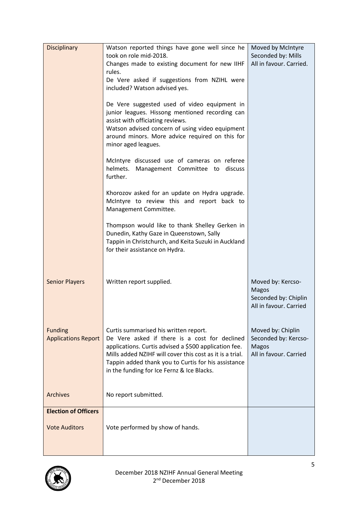| <b>Disciplinary</b>         | Watson reported things have gone well since he                                                         | Moved by McIntyre             |
|-----------------------------|--------------------------------------------------------------------------------------------------------|-------------------------------|
|                             | took on role mid-2018.                                                                                 | Seconded by: Mills            |
|                             | Changes made to existing document for new IIHF                                                         | All in favour. Carried.       |
|                             | rules.<br>De Vere asked if suggestions from NZIHL were                                                 |                               |
|                             | included? Watson advised yes.                                                                          |                               |
|                             |                                                                                                        |                               |
|                             | De Vere suggested used of video equipment in                                                           |                               |
|                             | junior leagues. Hissong mentioned recording can<br>assist with officiating reviews.                    |                               |
|                             | Watson advised concern of using video equipment                                                        |                               |
|                             | around minors. More advice required on this for                                                        |                               |
|                             | minor aged leagues.                                                                                    |                               |
|                             | McIntyre discussed use of cameras on referee                                                           |                               |
|                             | helmets. Management Committee to<br>discuss                                                            |                               |
|                             | further.                                                                                               |                               |
|                             | Khorozov asked for an update on Hydra upgrade.                                                         |                               |
|                             | McIntyre to review this and report back to                                                             |                               |
|                             | Management Committee.                                                                                  |                               |
|                             | Thompson would like to thank Shelley Gerken in                                                         |                               |
|                             | Dunedin, Kathy Gaze in Queenstown, Sally                                                               |                               |
|                             | Tappin in Christchurch, and Keita Suzuki in Auckland<br>for their assistance on Hydra.                 |                               |
|                             |                                                                                                        |                               |
|                             |                                                                                                        |                               |
| <b>Senior Players</b>       | Written report supplied.                                                                               | Moved by: Kercso-             |
|                             |                                                                                                        | Magos                         |
|                             |                                                                                                        | Seconded by: Chiplin          |
|                             |                                                                                                        | All in favour. Carried        |
|                             |                                                                                                        |                               |
| <b>Funding</b>              | Curtis summarised his written report.                                                                  | Moved by: Chiplin             |
| <b>Applications Report</b>  | De Vere asked if there is a cost for declined<br>applications. Curtis advised a \$500 application fee. | Seconded by: Kercso-<br>Magos |
|                             | Mills added NZIHF will cover this cost as it is a trial.                                               | All in favour. Carried        |
|                             | Tappin added thank you to Curtis for his assistance                                                    |                               |
|                             | in the funding for Ice Fernz & Ice Blacks.                                                             |                               |
|                             |                                                                                                        |                               |
| <b>Archives</b>             | No report submitted.                                                                                   |                               |
| <b>Election of Officers</b> |                                                                                                        |                               |
|                             |                                                                                                        |                               |
| <b>Vote Auditors</b>        | Vote performed by show of hands.                                                                       |                               |
|                             |                                                                                                        |                               |
|                             |                                                                                                        |                               |

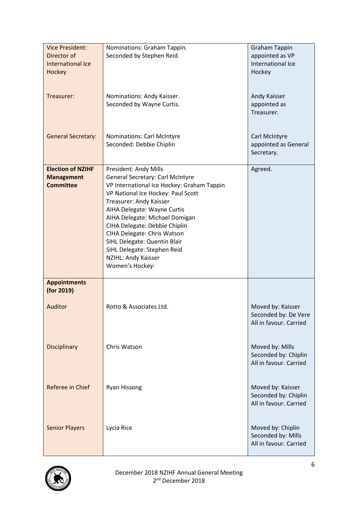| <b>Vice President:</b>                | Nominations: Graham Tappin.                                                      | <b>Graham Tappin</b>                           |
|---------------------------------------|----------------------------------------------------------------------------------|------------------------------------------------|
| Director of                           | Seconded by Stephen Reid.                                                        | appointed as VP                                |
| <b>International Ice</b>              |                                                                                  | International Ice                              |
| Hockey                                |                                                                                  | Hockey                                         |
|                                       |                                                                                  |                                                |
|                                       |                                                                                  |                                                |
| Treasurer:                            | Nominations: Andy Kaisser.                                                       | Andy Kaisser                                   |
|                                       | Seconded by Wayne Curtis.                                                        | appointed as                                   |
|                                       |                                                                                  | Treasurer.                                     |
|                                       |                                                                                  |                                                |
|                                       |                                                                                  |                                                |
| <b>General Secretary:</b>             | <b>Nominations: Carl McIntyre</b>                                                | Carl McIntyre                                  |
|                                       | Seconded: Debbie Chiplin                                                         | appointed as General                           |
|                                       |                                                                                  | Secretary.                                     |
|                                       |                                                                                  |                                                |
| <b>Election of NZIHF</b>              | President: Andy Mills                                                            | Agreed.                                        |
| <b>Management</b><br><b>Committee</b> | General Secretary: Carl McIntyre                                                 |                                                |
|                                       | VP International Ice Hockey: Graham Tappin<br>VP National Ice Hockey: Paul Scott |                                                |
|                                       | Treasurer: Andy Kaisser                                                          |                                                |
|                                       | AIHA Delegate: Wayne Curtis                                                      |                                                |
|                                       | AIHA Delegate: Michael Domigan                                                   |                                                |
|                                       | CIHA Delegate: Debbie Chiplin                                                    |                                                |
|                                       | CIHA Delegate: Chris Watson                                                      |                                                |
|                                       | SIHL Delegate: Quentin Blair                                                     |                                                |
|                                       | SIHL Delegate: Stephen Reid                                                      |                                                |
|                                       | NZIHL: Andy Kaisser                                                              |                                                |
|                                       | Women's Hockey:                                                                  |                                                |
|                                       |                                                                                  |                                                |
| <b>Appointments</b>                   |                                                                                  |                                                |
| (for 2019)                            |                                                                                  |                                                |
|                                       |                                                                                  |                                                |
| Auditor                               | Rotto & Associates Ltd.                                                          | Moved by: Kaisser                              |
|                                       |                                                                                  | Seconded by: De Vere<br>All in favour. Carried |
|                                       |                                                                                  |                                                |
|                                       |                                                                                  |                                                |
| <b>Disciplinary</b>                   | Chris Watson                                                                     | Moved by: Mills                                |
|                                       |                                                                                  | Seconded by: Chiplin                           |
|                                       |                                                                                  | All in favour. Carried                         |
|                                       |                                                                                  |                                                |
|                                       |                                                                                  |                                                |
| Referee in Chief                      | <b>Ryan Hissong</b>                                                              | Moved by: Kaisser                              |
|                                       |                                                                                  | Seconded by: Chiplin                           |
|                                       |                                                                                  | All in favour. Carried                         |
|                                       |                                                                                  |                                                |
|                                       |                                                                                  |                                                |
| <b>Senior Players</b>                 | Lycia Rice                                                                       | Moved by: Chiplin                              |
|                                       |                                                                                  | Seconded by: Mills                             |
|                                       |                                                                                  | All in favour. Carried                         |
|                                       |                                                                                  |                                                |

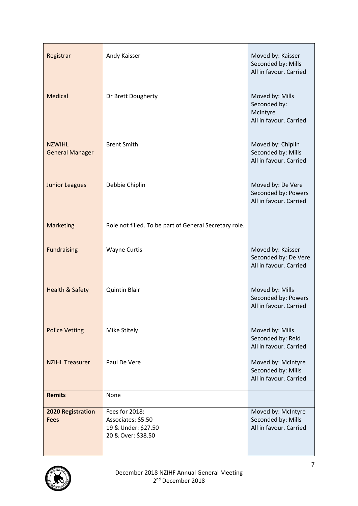| Registrar                               | Andy Kaisser                                                                      | Moved by: Kaisser<br>Seconded by: Mills<br>All in favour. Carried     |
|-----------------------------------------|-----------------------------------------------------------------------------------|-----------------------------------------------------------------------|
| Medical                                 | Dr Brett Dougherty                                                                | Moved by: Mills<br>Seconded by:<br>McIntyre<br>All in favour. Carried |
| <b>NZWIHL</b><br><b>General Manager</b> | <b>Brent Smith</b>                                                                | Moved by: Chiplin<br>Seconded by: Mills<br>All in favour. Carried     |
| <b>Junior Leagues</b>                   | Debbie Chiplin                                                                    | Moved by: De Vere<br>Seconded by: Powers<br>All in favour. Carried    |
| <b>Marketing</b>                        | Role not filled. To be part of General Secretary role.                            |                                                                       |
| <b>Fundraising</b>                      | <b>Wayne Curtis</b>                                                               | Moved by: Kaisser<br>Seconded by: De Vere<br>All in favour. Carried   |
| <b>Health &amp; Safety</b>              | <b>Quintin Blair</b>                                                              | Moved by: Mills<br>Seconded by: Powers<br>All in favour. Carried      |
| <b>Police Vetting</b>                   | Mike Stitely                                                                      | Moved by: Mills<br>Seconded by: Reid<br>All in favour. Carried        |
| <b>NZIHL Treasurer</b>                  | Paul De Vere                                                                      | Moved by: McIntyre<br>Seconded by: Mills<br>All in favour. Carried    |
| <b>Remits</b>                           | None                                                                              |                                                                       |
| <b>2020 Registration</b><br><b>Fees</b> | Fees for 2018:<br>Associates: \$5.50<br>19 & Under: \$27.50<br>20 & Over: \$38.50 | Moved by: McIntyre<br>Seconded by: Mills<br>All in favour. Carried    |

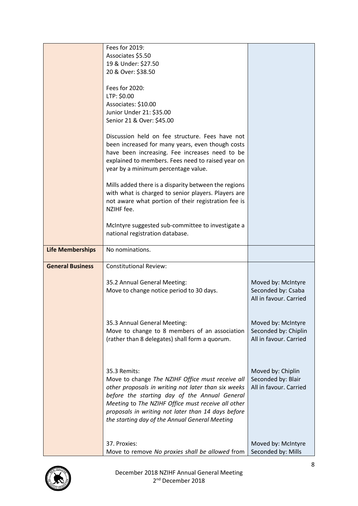|                         | Fees for 2019:                                                                                              |                                          |
|-------------------------|-------------------------------------------------------------------------------------------------------------|------------------------------------------|
|                         | Associates \$5.50                                                                                           |                                          |
|                         | 19 & Under: \$27.50                                                                                         |                                          |
|                         | 20 & Over: \$38.50                                                                                          |                                          |
|                         | Fees for 2020:                                                                                              |                                          |
|                         | LTP: \$0.00                                                                                                 |                                          |
|                         | Associates: \$10.00                                                                                         |                                          |
|                         | Junior Under 21: \$35.00                                                                                    |                                          |
|                         | Senior 21 & Over: \$45.00                                                                                   |                                          |
|                         | Discussion held on fee structure. Fees have not<br>been increased for many years, even though costs         |                                          |
|                         | have been increasing. Fee increases need to be                                                              |                                          |
|                         | explained to members. Fees need to raised year on                                                           |                                          |
|                         | year by a minimum percentage value.                                                                         |                                          |
|                         |                                                                                                             |                                          |
|                         | Mills added there is a disparity between the regions<br>with what is charged to senior players. Players are |                                          |
|                         | not aware what portion of their registration fee is                                                         |                                          |
|                         | NZIHF fee.                                                                                                  |                                          |
|                         |                                                                                                             |                                          |
|                         | McIntyre suggested sub-committee to investigate a                                                           |                                          |
|                         | national registration database.                                                                             |                                          |
|                         |                                                                                                             |                                          |
| <b>Life Memberships</b> | No nominations.                                                                                             |                                          |
| <b>General Business</b> | <b>Constitutional Review:</b>                                                                               |                                          |
|                         |                                                                                                             |                                          |
|                         | 35.2 Annual General Meeting:                                                                                | Moved by: McIntyre<br>Seconded by: Csaba |
|                         | Move to change notice period to 30 days.                                                                    | All in favour. Carried                   |
|                         |                                                                                                             |                                          |
|                         |                                                                                                             |                                          |
|                         | 35.3 Annual General Meeting:                                                                                | Moved by: McIntyre                       |
|                         | Move to change to 8 members of an association                                                               | Seconded by: Chiplin                     |
|                         | (rather than 8 delegates) shall form a quorum.                                                              | All in favour. Carried                   |
|                         |                                                                                                             |                                          |
|                         |                                                                                                             |                                          |
|                         | 35.3 Remits:                                                                                                | Moved by: Chiplin                        |
|                         | Move to change The NZIHF Office must receive all                                                            | Seconded by: Blair                       |
|                         | other proposals in writing not later than six weeks                                                         | All in favour. Carried                   |
|                         | before the starting day of the Annual General                                                               |                                          |
|                         | Meeting to The NZIHF Office must receive all other                                                          |                                          |
|                         | proposals in writing not later than 14 days before                                                          |                                          |
|                         | the starting day of the Annual General Meeting                                                              |                                          |
|                         |                                                                                                             |                                          |
|                         | 37. Proxies:                                                                                                | Moved by: McIntyre                       |
|                         | Move to remove No proxies shall be allowed from                                                             | Seconded by: Mills                       |

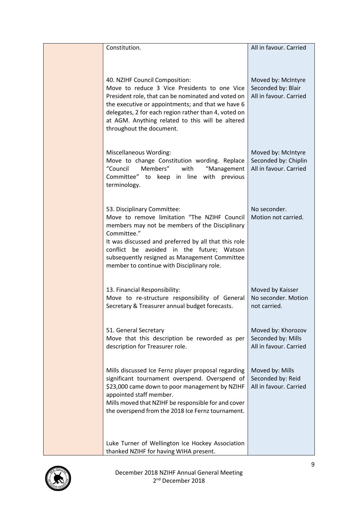| Constitution.                                                                                                                                                                                                                                                                                                                                    | All in favour. Carried                                               |
|--------------------------------------------------------------------------------------------------------------------------------------------------------------------------------------------------------------------------------------------------------------------------------------------------------------------------------------------------|----------------------------------------------------------------------|
| 40. NZIHF Council Composition:<br>Move to reduce 3 Vice Presidents to one Vice<br>President role, that can be nominated and voted on<br>the executive or appointments; and that we have 6<br>delegates, 2 for each region rather than 4, voted on<br>at AGM. Anything related to this will be altered<br>throughout the document.                | Moved by: McIntyre<br>Seconded by: Blair<br>All in favour. Carried   |
| <b>Miscellaneous Wording:</b><br>Move to change Constitution wording. Replace<br>Members"<br>"Council<br>with<br>"Management<br>Committee" to keep in line with previous<br>terminology.                                                                                                                                                         | Moved by: McIntyre<br>Seconded by: Chiplin<br>All in favour. Carried |
| 53. Disciplinary Committee:<br>Move to remove limitation "The NZIHF Council<br>members may not be members of the Disciplinary<br>Committee."<br>It was discussed and preferred by all that this role<br>conflict be avoided in the future; Watson<br>subsequently resigned as Management Committee<br>member to continue with Disciplinary role. | No seconder.<br>Motion not carried.                                  |
| 13. Financial Responsibility:<br>Move to re-structure responsibility of General<br>Secretary & Treasurer annual budget forecasts.                                                                                                                                                                                                                | Moved by Kaisser<br>No seconder. Motion<br>not carried.              |
| 51. General Secretary<br>Move that this description be reworded as per<br>description for Treasurer role.                                                                                                                                                                                                                                        | Moved by: Khorozov<br>Seconded by: Mills<br>All in favour. Carried   |
| Mills discussed Ice Fernz player proposal regarding<br>significant tournament overspend. Overspend of<br>\$23,000 came down to poor management by NZIHF<br>appointed staff member.<br>Mills moved that NZIHF be responsible for and cover<br>the overspend from the 2018 Ice Fernz tournament.                                                   | Moved by: Mills<br>Seconded by: Reid<br>All in favour. Carried       |
| Luke Turner of Wellington Ice Hockey Association<br>thanked NZIHF for having WIHA present.                                                                                                                                                                                                                                                       |                                                                      |